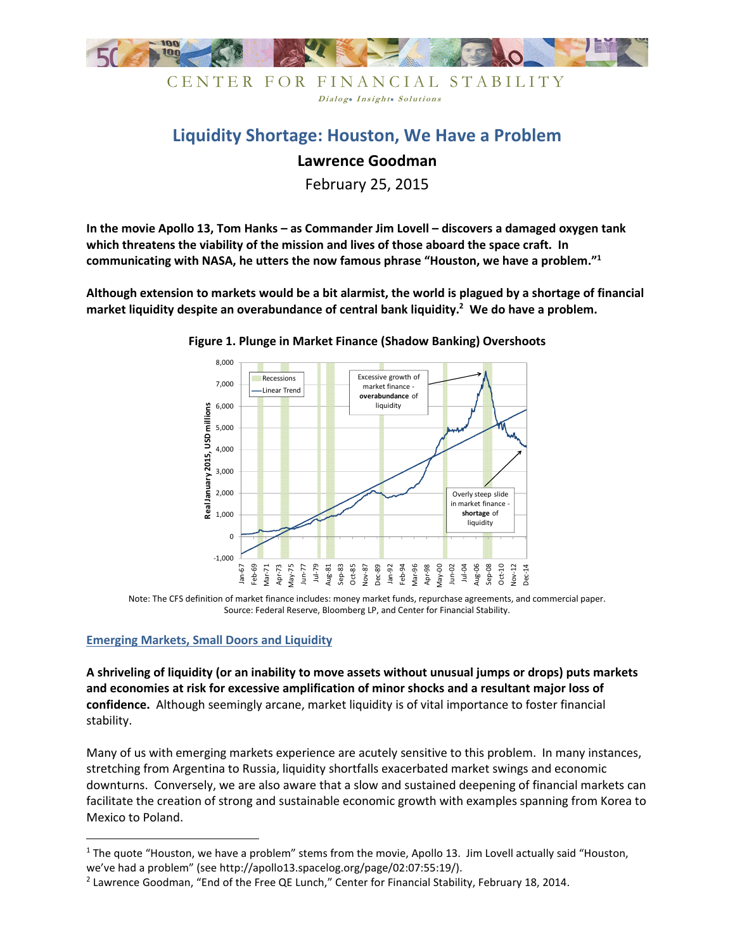

# **Liquidity Shortage: Houston, We Have a Problem**

Dialog. Insight. Solutions

# **Lawrence Goodman**

February 25, 2015

**In the movie Apollo 13, Tom Hanks – as Commander Jim Lovell – discovers a damaged oxygen tank which threatens the viability of the mission and lives of those aboard the space craft. In communicating with NASA, he utters the now famous phrase "Houston, we have a problem."<sup>1</sup>**

**Although extension to markets would be a bit alarmist, the world is plagued by a shortage of financial market liquidity despite an overabundance of central bank liquidity.<sup>2</sup> We do have a problem.** 



**Figure 1. Plunge in Market Finance (Shadow Banking) Overshoots** 

Note: The CFS definition of market finance includes: money market funds, repurchase agreements, and commercial paper. Source: Federal Reserve, Bloomberg LP, and Center for Financial Stability.

### **Emerging Markets, Small Doors and Liquidity**

<u>.</u>

**A shriveling of liquidity (or an inability to move assets without unusual jumps or drops) puts markets and economies at risk for excessive amplification of minor shocks and a resultant major loss of confidence.** Although seemingly arcane, market liquidity is of vital importance to foster financial stability.

Many of us with emerging markets experience are acutely sensitive to this problem. In many instances, stretching from Argentina to Russia, liquidity shortfalls exacerbated market swings and economic downturns. Conversely, we are also aware that a slow and sustained deepening of financial markets can facilitate the creation of strong and sustainable economic growth with examples spanning from Korea to Mexico to Poland.

<sup>&</sup>lt;sup>1</sup> The quote "Houston, we have a problem" stems from the movie, Apollo 13. Jim Lovell actually said "Houston, we've had a problem" (see http://apollo13.spacelog.org/page/02:07:55:19/).

<sup>&</sup>lt;sup>2</sup> Lawrence Goodman, "End of the Free QE Lunch," Center for Financial Stability, February 18, 2014.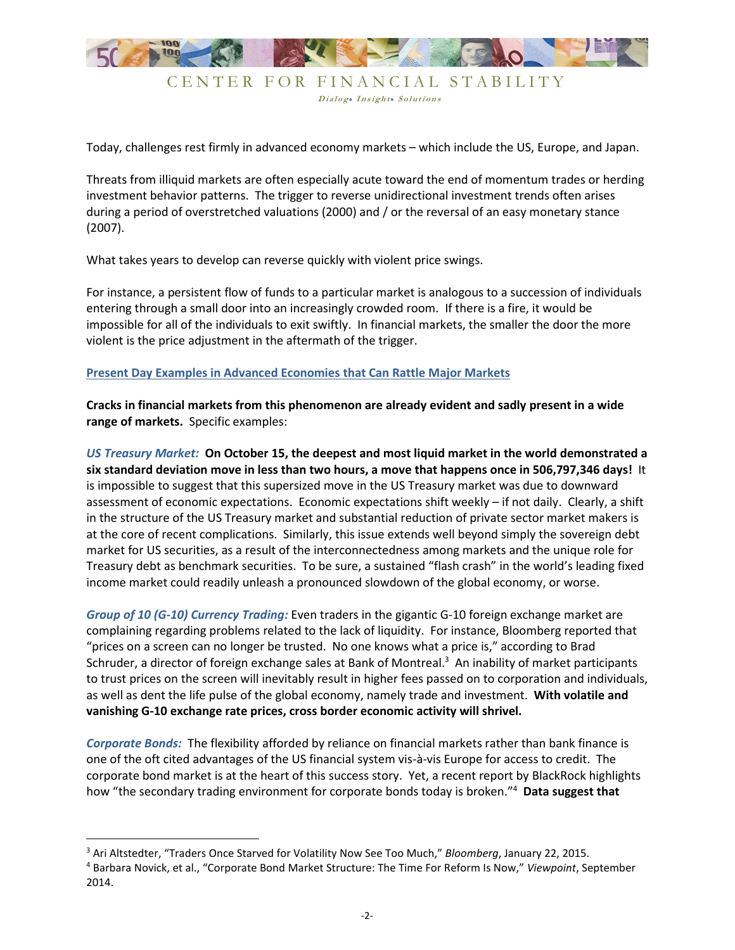

Dialog. Insight. Solutions

Today, challenges rest firmly in advanced economy markets – which include the US, Europe, and Japan.

Threats from illiquid markets are often especially acute toward the end of momentum trades or herding investment behavior patterns. The trigger to reverse unidirectional investment trends often arises during a period of overstretched valuations (2000) and / or the reversal of an easy monetary stance (2007).

What takes years to develop can reverse quickly with violent price swings.

For instance, a persistent flow of funds to a particular market is analogous to a succession of individuals entering through a small door into an increasingly crowded room. If there is a fire, it would be impossible for all of the individuals to exit swiftly. In financial markets, the smaller the door the more violent is the price adjustment in the aftermath of the trigger.

#### **Present Day Examples in Advanced Economies that Can Rattle Major Markets**

**Cracks in financial markets from this phenomenon are already evident and sadly present in a wide range of markets.** Specific examples:

*US Treasury Market:* **On October 15, the deepest and most liquid market in the world demonstrated a six standard deviation move in less than two hours, a move that happens once in 506,797,346 days!** It is impossible to suggest that this supersized move in the US Treasury market was due to downward assessment of economic expectations. Economic expectations shift weekly – if not daily. Clearly, a shift in the structure of the US Treasury market and substantial reduction of private sector market makers is at the core of recent complications. Similarly, this issue extends well beyond simply the sovereign debt market for US securities, as a result of the interconnectedness among markets and the unique role for Treasury debt as benchmark securities. To be sure, a sustained "flash crash" in the world's leading fixed income market could readily unleash a pronounced slowdown of the global economy, or worse.

*Group of 10 (G-10) Currency Trading:* Even traders in the gigantic G-10 foreign exchange market are complaining regarding problems related to the lack of liquidity. For instance, Bloomberg reported that "prices on a screen can no longer be trusted. No one knows what a price is," according to Brad Schruder, a director of foreign exchange sales at Bank of Montreal.<sup>3</sup> An inability of market participants to trust prices on the screen will inevitably result in higher fees passed on to corporation and individuals, as well as dent the life pulse of the global economy, namely trade and investment. **With volatile and vanishing G-10 exchange rate prices, cross border economic activity will shrivel.** 

*Corporate Bonds:* The flexibility afforded by reliance on financial markets rather than bank finance is one of the oft cited advantages of the US financial system vis-à-vis Europe for access to credit. The corporate bond market is at the heart of this success story. Yet, a recent report by BlackRock highlights how "the secondary trading environment for corporate bonds today is broken."<sup>4</sup> **Data suggest that** 

<u>.</u>

<sup>3</sup> Ari Altstedter, "Traders Once Starved for Volatility Now See Too Much," *Bloomberg*, January 22, 2015.

<sup>4</sup> Barbara Novick, et al., "Corporate Bond Market Structure: The Time For Reform Is Now," *Viewpoint*, September 2014.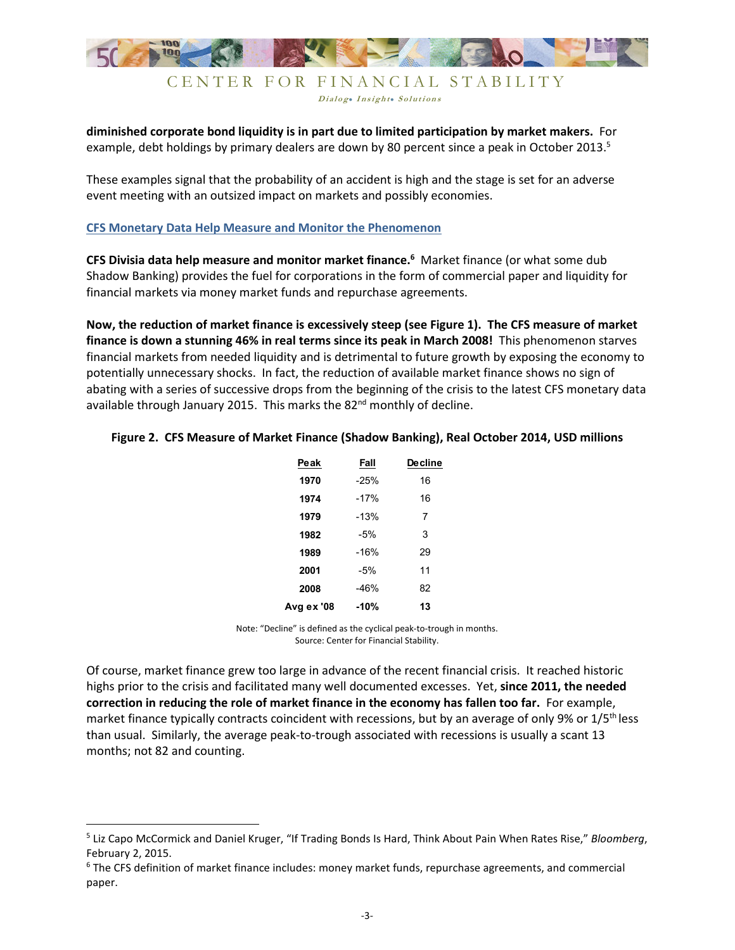

Dialog. Insight. Solutions

**diminished corporate bond liquidity is in part due to limited participation by market makers.** For example, debt holdings by primary dealers are down by 80 percent since a peak in October 2013.<sup>5</sup>

These examples signal that the probability of an accident is high and the stage is set for an adverse event meeting with an outsized impact on markets and possibly economies.

#### **CFS Monetary Data Help Measure and Monitor the Phenomenon**

**CFS Divisia data help measure and monitor market finance.<sup>6</sup>** Market finance (or what some dub Shadow Banking) provides the fuel for corporations in the form of commercial paper and liquidity for financial markets via money market funds and repurchase agreements.

**Now, the reduction of market finance is excessively steep (see Figure 1). The CFS measure of market finance is down a stunning 46% in real terms since its peak in March 2008!** This phenomenon starves financial markets from needed liquidity and is detrimental to future growth by exposing the economy to potentially unnecessary shocks. In fact, the reduction of available market finance shows no sign of abating with a series of successive drops from the beginning of the crisis to the latest CFS monetary data available through January 2015. This marks the 82<sup>nd</sup> monthly of decline.

|  | Figure 2. CFS Measure of Market Finance (Shadow Banking), Real October 2014, USD millions |  |  |  |  |  |  |  |  |
|--|-------------------------------------------------------------------------------------------|--|--|--|--|--|--|--|--|
|--|-------------------------------------------------------------------------------------------|--|--|--|--|--|--|--|--|

| Peak       | Fall   | <b>Decline</b> |
|------------|--------|----------------|
| 1970       | $-25%$ | 16             |
| 1974       | $-17%$ | 16             |
| 1979       | $-13%$ | 7              |
| 1982       | $-5%$  | 3              |
| 1989       | $-16%$ | 29             |
| 2001       | $-5%$  | 11             |
| 2008       | $-46%$ | 82             |
| Avg ex '08 | -10%   | 13             |

Note: "Decline" is defined as the cyclical peak-to-trough in months. Source: Center for Financial Stability.

Of course, market finance grew too large in advance of the recent financial crisis. It reached historic highs prior to the crisis and facilitated many well documented excesses. Yet, **since 2011, the needed correction in reducing the role of market finance in the economy has fallen too far.** For example, market finance typically contracts coincident with recessions, but by an average of only 9% or  $1/5<sup>th</sup>$  less than usual. Similarly, the average peak-to-trough associated with recessions is usually a scant 13 months; not 82 and counting.

.<br>-

<sup>5</sup> Liz Capo McCormick and Daniel Kruger, "If Trading Bonds Is Hard, Think About Pain When Rates Rise," *Bloomberg*, February 2, 2015.

<sup>&</sup>lt;sup>6</sup> The CFS definition of market finance includes: money market funds, repurchase agreements, and commercial paper.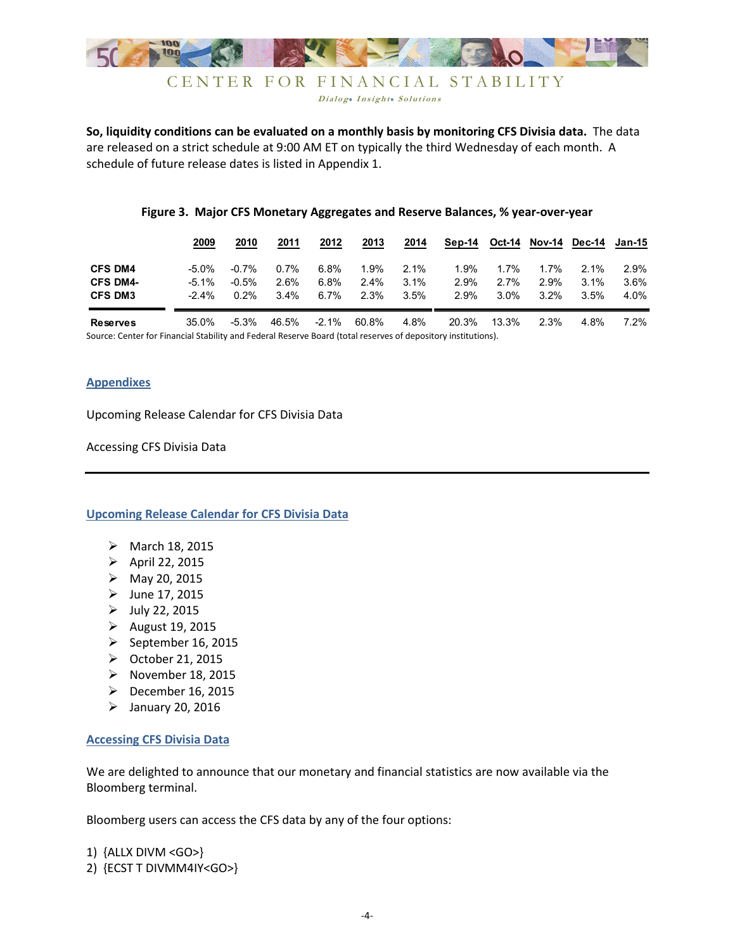

Dialog. Insight. Solutions

**So, liquidity conditions can be evaluated on a monthly basis by monitoring CFS Divisia data.** The data are released on a strict schedule at 9:00 AM ET on typically the third Wednesday of each month. A schedule of future release dates is listed in Appendix 1.

#### **Figure 3. Major CFS Monetary Aggregates and Reserve Balances, % year-over-year**

|                 | 2009     | 2010     | 2011  | 2012     | 2013    | 2014    | Sep-14 | Oct-14  | Nov-14  | Dec-14  | Jan-15  |
|-----------------|----------|----------|-------|----------|---------|---------|--------|---------|---------|---------|---------|
| <b>CFS DM4</b>  | $-5.0\%$ | $-0.7\%$ | 0.7%  | 6.8%     | 1.9%    | $2.1\%$ | 1.9%   | 1.7%    | 1.7%    | $2.1\%$ | $2.9\%$ |
| <b>CFS DM4-</b> | $-5.1\%$ | $-0.5\%$ | 2.6%  | 6.8%     | $2.4\%$ | 3.1%    | 2.9%   | 2.7%    | 2.9%    | $3.1\%$ | $3.6\%$ |
| <b>CFS DM3</b>  | $-2.4\%$ | $0.2\%$  | 3.4%  | 6.7%     | 2.3%    | 3.5%    | 2.9%   | $3.0\%$ | $3.2\%$ | 3.5%    | 4.0%    |
| <b>Reserves</b> | 35.0%    | $-5.3%$  | 46.5% | $-2.1\%$ | 60.8%   | 4.8%    | 20.3%  | 13.3%   | 2.3%    | 4.8%    | $7.2\%$ |

Source: Center for Financial Stability and Federal Reserve Board (total reserves of depository institutions).

#### **Appendixes**

Upcoming Release Calendar for CFS Divisia Data

Accessing CFS Divisia Data

**Upcoming Release Calendar for CFS Divisia Data** 

- $\triangleright$  March 18, 2015
- $\triangleright$  April 22, 2015
- $\triangleright$  May 20, 2015
- $\blacktriangleright$  June 17, 2015
- $\blacktriangleright$  July 22, 2015
- > August 19, 2015
- $\blacktriangleright$  September 16, 2015
- October 21, 2015
- > November 18, 2015
- $\triangleright$  December 16, 2015
- $\blacktriangleright$  January 20, 2016

#### **Accessing CFS Divisia Data**

We are delighted to announce that our monetary and financial statistics are now available via the Bloomberg terminal.

Bloomberg users can access the CFS data by any of the four options:

1) {ALLX DIVM <GO>} 2) {ECST T DIVMM4IY<GO>}